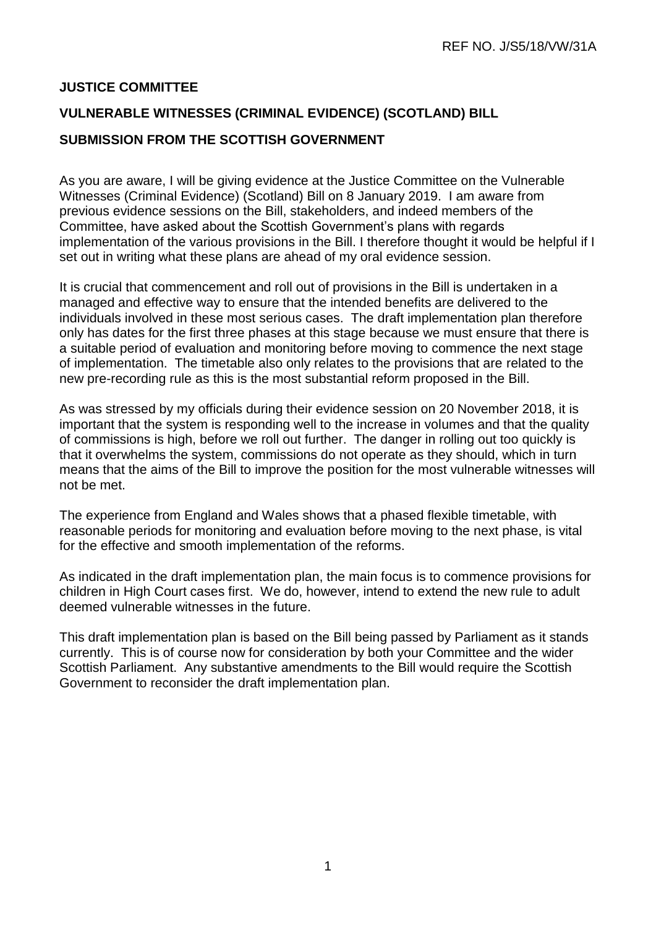## **JUSTICE COMMITTEE**

## **VULNERABLE WITNESSES (CRIMINAL EVIDENCE) (SCOTLAND) BILL SUBMISSION FROM THE SCOTTISH GOVERNMENT**

As you are aware, I will be giving evidence at the Justice Committee on the Vulnerable Witnesses (Criminal Evidence) (Scotland) Bill on 8 January 2019. I am aware from previous evidence sessions on the Bill, stakeholders, and indeed members of the Committee, have asked about the Scottish Government's plans with regards implementation of the various provisions in the Bill. I therefore thought it would be helpful if I set out in writing what these plans are ahead of my oral evidence session.

It is crucial that commencement and roll out of provisions in the Bill is undertaken in a managed and effective way to ensure that the intended benefits are delivered to the individuals involved in these most serious cases. The draft implementation plan therefore only has dates for the first three phases at this stage because we must ensure that there is a suitable period of evaluation and monitoring before moving to commence the next stage of implementation. The timetable also only relates to the provisions that are related to the new pre-recording rule as this is the most substantial reform proposed in the Bill.

As was stressed by my officials during their evidence session on 20 November 2018, it is important that the system is responding well to the increase in volumes and that the quality of commissions is high, before we roll out further. The danger in rolling out too quickly is that it overwhelms the system, commissions do not operate as they should, which in turn means that the aims of the Bill to improve the position for the most vulnerable witnesses will not be met.

The experience from England and Wales shows that a phased flexible timetable, with reasonable periods for monitoring and evaluation before moving to the next phase, is vital for the effective and smooth implementation of the reforms.

As indicated in the draft implementation plan, the main focus is to commence provisions for children in High Court cases first. We do, however, intend to extend the new rule to adult deemed vulnerable witnesses in the future.

This draft implementation plan is based on the Bill being passed by Parliament as it stands currently. This is of course now for consideration by both your Committee and the wider Scottish Parliament. Any substantive amendments to the Bill would require the Scottish Government to reconsider the draft implementation plan.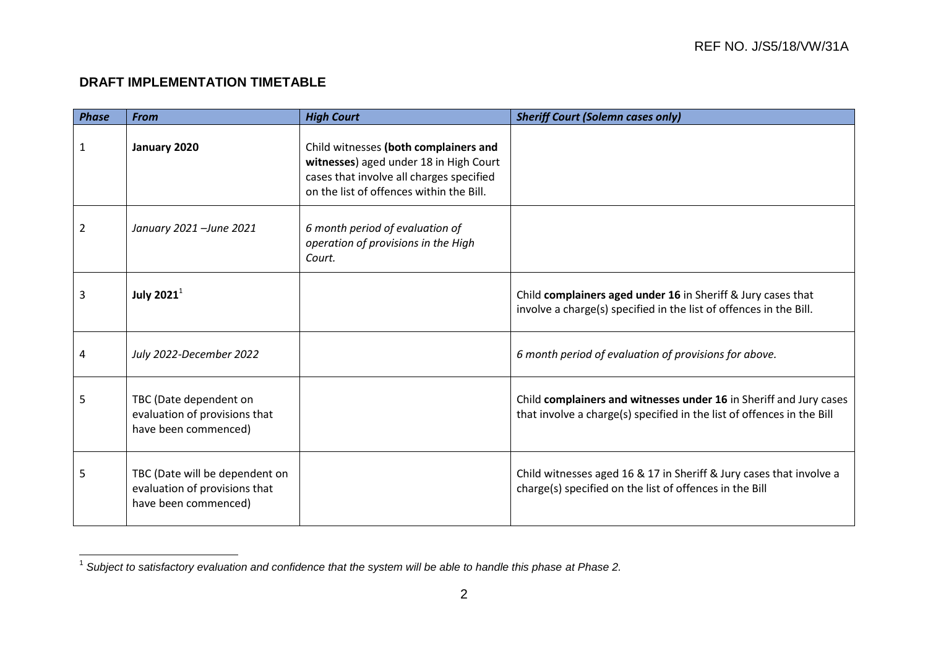## **DRAFT IMPLEMENTATION TIMETABLE**

| <b>Phase</b> | <b>From</b>                                                                             | <b>High Court</b>                                                                                                                                                       | <b>Sheriff Court (Solemn cases only)</b>                                                                                                     |
|--------------|-----------------------------------------------------------------------------------------|-------------------------------------------------------------------------------------------------------------------------------------------------------------------------|----------------------------------------------------------------------------------------------------------------------------------------------|
| 1            | January 2020                                                                            | Child witnesses (both complainers and<br>witnesses) aged under 18 in High Court<br>cases that involve all charges specified<br>on the list of offences within the Bill. |                                                                                                                                              |
| 2            | January 2021 - June 2021                                                                | 6 month period of evaluation of<br>operation of provisions in the High<br>Court.                                                                                        |                                                                                                                                              |
| 3            | July 2021 $^1$                                                                          |                                                                                                                                                                         | Child complainers aged under 16 in Sheriff & Jury cases that<br>involve a charge(s) specified in the list of offences in the Bill.           |
| 4            | July 2022-December 2022                                                                 |                                                                                                                                                                         | 6 month period of evaluation of provisions for above.                                                                                        |
| 5            | TBC (Date dependent on<br>evaluation of provisions that<br>have been commenced)         |                                                                                                                                                                         | Child complainers and witnesses under 16 in Sheriff and Jury cases<br>that involve a charge(s) specified in the list of offences in the Bill |
| 5            | TBC (Date will be dependent on<br>evaluation of provisions that<br>have been commenced) |                                                                                                                                                                         | Child witnesses aged 16 & 17 in Sheriff & Jury cases that involve a<br>charge(s) specified on the list of offences in the Bill               |

 1 *Subject to satisfactory evaluation and confidence that the system will be able to handle this phase at Phase 2.*